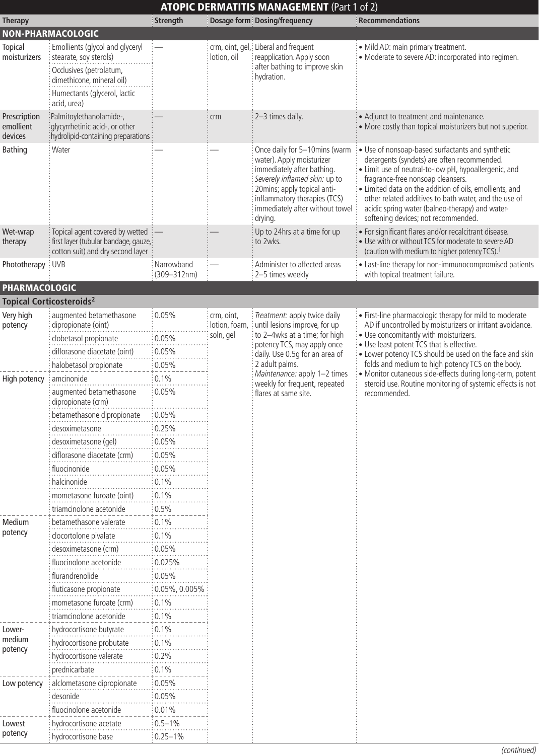|                                      |                                                                                                                                                                  | <b>ATOPIC DERMATITIS MANAGEMENT (Part 1 of 2)</b> |                                          |                                                                                                                                                                                                                                                                            |                                                                                                                                                                                                                                                                                                                                                                                                                                                                        |  |  |  |
|--------------------------------------|------------------------------------------------------------------------------------------------------------------------------------------------------------------|---------------------------------------------------|------------------------------------------|----------------------------------------------------------------------------------------------------------------------------------------------------------------------------------------------------------------------------------------------------------------------------|------------------------------------------------------------------------------------------------------------------------------------------------------------------------------------------------------------------------------------------------------------------------------------------------------------------------------------------------------------------------------------------------------------------------------------------------------------------------|--|--|--|
| <b>Therapy</b>                       |                                                                                                                                                                  | Strength                                          |                                          | Dosage form Dosing/frequency                                                                                                                                                                                                                                               | <b>Recommendations</b>                                                                                                                                                                                                                                                                                                                                                                                                                                                 |  |  |  |
| <b>NON-PHARMACOLOGIC</b>             |                                                                                                                                                                  |                                                   |                                          |                                                                                                                                                                                                                                                                            |                                                                                                                                                                                                                                                                                                                                                                                                                                                                        |  |  |  |
| <b>Topical</b><br>moisturizers       | Emollients (glycol and glyceryl<br>stearate, soy sterols)<br>Occlusives (petrolatum,<br>dimethicone, mineral oil)<br>Humectants (glycerol, lactic<br>acid, urea) |                                                   | lotion, oil                              | crm, oint, gel,: Liberal and frequent<br>reapplication. Apply soon<br>after bathing to improve skin<br>hydration.                                                                                                                                                          | · Mild AD: main primary treatment.<br>• Moderate to severe AD: incorporated into regimen.                                                                                                                                                                                                                                                                                                                                                                              |  |  |  |
| Prescription<br>emollient<br>devices | :Palmitoylethanolamide-,<br>glycyrrhetinic acid-, or other<br>hydrolipid-containing preparations                                                                 |                                                   | crm                                      | 2-3 times daily.                                                                                                                                                                                                                                                           | • Adjunct to treatment and maintenance.<br>• More costly than topical moisturizers but not superior.                                                                                                                                                                                                                                                                                                                                                                   |  |  |  |
| Bathing                              | Water                                                                                                                                                            |                                                   |                                          | Once daily for 5-10mins (warm<br>water). Apply moisturizer<br>immediately after bathing.<br>Severely inflamed skin: up to<br>20mins; apply topical anti-<br>inflammatory therapies (TCS)<br>immediately after without towel<br>drying.                                     | • Use of nonsoap-based surfactants and synthetic<br>detergents (syndets) are often recommended.<br>• Limit use of neutral-to-low pH, hypoallergenic, and<br>fragrance-free nonsoap cleansers.<br>· Limited data on the addition of oils, emollients, and<br>other related additives to bath water, and the use of<br>acidic spring water (balneo-therapy) and water-<br>softening devices; not recommended.                                                            |  |  |  |
| Wet-wrap<br>therapy                  | Topical agent covered by wetted<br>first layer (tubular bandage, gauze,<br>cotton suit) and dry second layer                                                     |                                                   |                                          | Up to 24hrs at a time for up<br>to 2wks.                                                                                                                                                                                                                                   | • For significant flares and/or recalcitrant disease.<br>. Use with or without TCS for moderate to severe AD<br>(caution with medium to higher potency TCS). <sup>1</sup>                                                                                                                                                                                                                                                                                              |  |  |  |
| Phototherapy : UVB                   |                                                                                                                                                                  | Narrowband<br>$(309 - 312nm)$                     |                                          | Administer to affected areas<br>2-5 times weekly                                                                                                                                                                                                                           | • Last-line therapy for non-immunocompromised patients<br>with topical treatment failure.                                                                                                                                                                                                                                                                                                                                                                              |  |  |  |
| PHARMACOLOGIC                        |                                                                                                                                                                  |                                                   |                                          |                                                                                                                                                                                                                                                                            |                                                                                                                                                                                                                                                                                                                                                                                                                                                                        |  |  |  |
|                                      | <b>Topical Corticosteroids<sup>2</sup></b>                                                                                                                       |                                                   |                                          |                                                                                                                                                                                                                                                                            |                                                                                                                                                                                                                                                                                                                                                                                                                                                                        |  |  |  |
| Very high<br>potency                 | augmented betamethasone<br>dipropionate (oint)                                                                                                                   | 0.05%                                             | crm, oint,<br>lotion, foam,<br>soln, gel | Treatment: apply twice daily<br>until lesions improve, for up<br>to 2-4wks at a time; for high<br>potency TCS, may apply once<br>daily. Use 0.5g for an area of<br>2 adult palms.<br>Maintenance: apply 1-2 times<br>weekly for frequent, repeated<br>flares at same site. | • First-line pharmacologic therapy for mild to moderate<br>AD if uncontrolled by moisturizers or irritant avoidance.<br>• Use concomitantly with moisturizers.<br>• Use least potent TCS that is effective.<br>• Lower potency TCS should be used on the face and skin<br>folds and medium to high potency TCS on the body.<br>• Monitor cutaneous side-effects during long-term, potent<br>steroid use. Routine monitoring of systemic effects is not<br>recommended. |  |  |  |
|                                      | clobetasol propionate                                                                                                                                            | 0.05%                                             |                                          |                                                                                                                                                                                                                                                                            |                                                                                                                                                                                                                                                                                                                                                                                                                                                                        |  |  |  |
|                                      | diflorasone diacetate (oint)                                                                                                                                     | 0.05%                                             |                                          |                                                                                                                                                                                                                                                                            |                                                                                                                                                                                                                                                                                                                                                                                                                                                                        |  |  |  |
|                                      | halobetasol propionate                                                                                                                                           | 0.05%                                             |                                          |                                                                                                                                                                                                                                                                            |                                                                                                                                                                                                                                                                                                                                                                                                                                                                        |  |  |  |
| High potency                         | amcinonide                                                                                                                                                       | 0.1%                                              |                                          |                                                                                                                                                                                                                                                                            |                                                                                                                                                                                                                                                                                                                                                                                                                                                                        |  |  |  |
|                                      | augmented betamethasone<br>dipropionate (crm)                                                                                                                    | 0.05%                                             |                                          |                                                                                                                                                                                                                                                                            |                                                                                                                                                                                                                                                                                                                                                                                                                                                                        |  |  |  |
|                                      | betamethasone dipropionate                                                                                                                                       | 0.05%                                             |                                          |                                                                                                                                                                                                                                                                            |                                                                                                                                                                                                                                                                                                                                                                                                                                                                        |  |  |  |
|                                      | desoximetasone                                                                                                                                                   | 0.25%                                             |                                          |                                                                                                                                                                                                                                                                            |                                                                                                                                                                                                                                                                                                                                                                                                                                                                        |  |  |  |
|                                      | desoximetasone (gel)                                                                                                                                             | 0.05%                                             |                                          |                                                                                                                                                                                                                                                                            |                                                                                                                                                                                                                                                                                                                                                                                                                                                                        |  |  |  |
|                                      | diflorasone diacetate (crm)                                                                                                                                      | 0.05%                                             |                                          |                                                                                                                                                                                                                                                                            |                                                                                                                                                                                                                                                                                                                                                                                                                                                                        |  |  |  |
|                                      | fluocinonide                                                                                                                                                     | 0.05%                                             |                                          |                                                                                                                                                                                                                                                                            |                                                                                                                                                                                                                                                                                                                                                                                                                                                                        |  |  |  |
|                                      | halcinonide                                                                                                                                                      | 0.1%                                              |                                          |                                                                                                                                                                                                                                                                            |                                                                                                                                                                                                                                                                                                                                                                                                                                                                        |  |  |  |
|                                      | mometasone furoate (oint)                                                                                                                                        | 0.1%                                              |                                          |                                                                                                                                                                                                                                                                            |                                                                                                                                                                                                                                                                                                                                                                                                                                                                        |  |  |  |
|                                      | triamcinolone acetonide                                                                                                                                          | 0.5%                                              |                                          |                                                                                                                                                                                                                                                                            |                                                                                                                                                                                                                                                                                                                                                                                                                                                                        |  |  |  |
| Medium<br>potency                    | betamethasone valerate                                                                                                                                           | 0.1%                                              |                                          |                                                                                                                                                                                                                                                                            |                                                                                                                                                                                                                                                                                                                                                                                                                                                                        |  |  |  |
|                                      | clocortolone pivalate                                                                                                                                            | 0.1%                                              |                                          |                                                                                                                                                                                                                                                                            |                                                                                                                                                                                                                                                                                                                                                                                                                                                                        |  |  |  |
|                                      | desoximetasone (crm)                                                                                                                                             | 0.05%                                             |                                          |                                                                                                                                                                                                                                                                            |                                                                                                                                                                                                                                                                                                                                                                                                                                                                        |  |  |  |
|                                      | fluocinolone acetonide                                                                                                                                           | 0.025%                                            |                                          |                                                                                                                                                                                                                                                                            |                                                                                                                                                                                                                                                                                                                                                                                                                                                                        |  |  |  |
|                                      | flurandrenolide                                                                                                                                                  | 0.05%                                             |                                          |                                                                                                                                                                                                                                                                            |                                                                                                                                                                                                                                                                                                                                                                                                                                                                        |  |  |  |
|                                      | fluticasone propionate                                                                                                                                           | 0.05%, 0.005%                                     |                                          |                                                                                                                                                                                                                                                                            |                                                                                                                                                                                                                                                                                                                                                                                                                                                                        |  |  |  |
|                                      | mometasone furoate (crm)                                                                                                                                         | 0.1%                                              |                                          |                                                                                                                                                                                                                                                                            |                                                                                                                                                                                                                                                                                                                                                                                                                                                                        |  |  |  |
|                                      | triamcinolone acetonide                                                                                                                                          | 0.1%                                              |                                          |                                                                                                                                                                                                                                                                            |                                                                                                                                                                                                                                                                                                                                                                                                                                                                        |  |  |  |
| Lower-<br>medium<br>potency          | hydrocortisone butyrate                                                                                                                                          | 0.1%                                              |                                          |                                                                                                                                                                                                                                                                            |                                                                                                                                                                                                                                                                                                                                                                                                                                                                        |  |  |  |
|                                      | hydrocortisone probutate                                                                                                                                         | 0.1%                                              |                                          |                                                                                                                                                                                                                                                                            |                                                                                                                                                                                                                                                                                                                                                                                                                                                                        |  |  |  |
|                                      | hydrocortisone valerate                                                                                                                                          | 0.2%                                              |                                          |                                                                                                                                                                                                                                                                            |                                                                                                                                                                                                                                                                                                                                                                                                                                                                        |  |  |  |
|                                      | prednicarbate                                                                                                                                                    | 0.1%                                              |                                          |                                                                                                                                                                                                                                                                            |                                                                                                                                                                                                                                                                                                                                                                                                                                                                        |  |  |  |
| Low potency                          | alclometasone dipropionate                                                                                                                                       | 0.05%                                             |                                          |                                                                                                                                                                                                                                                                            |                                                                                                                                                                                                                                                                                                                                                                                                                                                                        |  |  |  |
|                                      | desonide                                                                                                                                                         | 0.05%                                             |                                          |                                                                                                                                                                                                                                                                            |                                                                                                                                                                                                                                                                                                                                                                                                                                                                        |  |  |  |
|                                      | fluocinolone acetonide                                                                                                                                           | 0.01%                                             |                                          |                                                                                                                                                                                                                                                                            |                                                                                                                                                                                                                                                                                                                                                                                                                                                                        |  |  |  |
| Lowest                               | hydrocortisone acetate                                                                                                                                           | $0.5 - 1\%$                                       |                                          |                                                                                                                                                                                                                                                                            |                                                                                                                                                                                                                                                                                                                                                                                                                                                                        |  |  |  |
| potency                              | hydrocortisone base                                                                                                                                              | $:0.25 - 1\%$                                     |                                          |                                                                                                                                                                                                                                                                            |                                                                                                                                                                                                                                                                                                                                                                                                                                                                        |  |  |  |